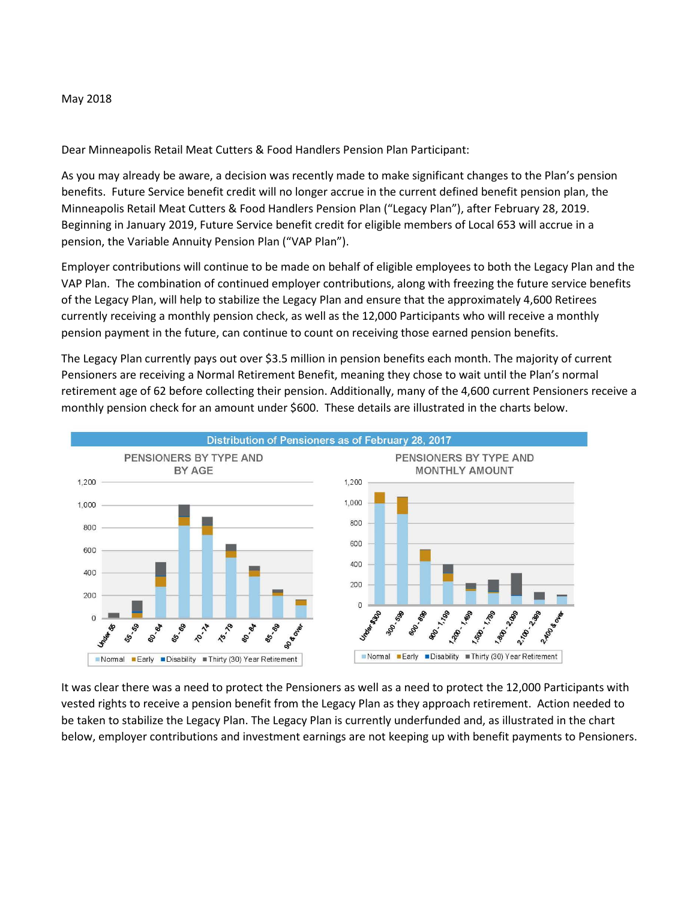## May 2018

Dear Minneapolis Retail Meat Cutters & Food Handlers Pension Plan Participant:

As you may already be aware, a decision was recently made to make significant changes to the Plan's pension benefits. Future Service benefit credit will no longer accrue in the current defined benefit pension plan, the Minneapolis Retail Meat Cutters & Food Handlers Pension Plan ("Legacy Plan"), after February 28, 2019. Beginning in January 2019, Future Service benefit credit for eligible members of Local 653 will accrue in a pension, the Variable Annuity Pension Plan ("VAP Plan").

Employer contributions will continue to be made on behalf of eligible employees to both the Legacy Plan and the VAP Plan. The combination of continued employer contributions, along with freezing the future service benefits of the Legacy Plan, will help to stabilize the Legacy Plan and ensure that the approximately 4,600 Retirees currently receiving a monthly pension check, as well as the 12,000 Participants who will receive a monthly pension payment in the future, can continue to count on receiving those earned pension benefits.

The Legacy Plan currently pays out over \$3.5 million in pension benefits each month. The majority of current Pensioners are receiving a Normal Retirement Benefit, meaning they chose to wait until the Plan's normal retirement age of 62 before collecting their pension. Additionally, many of the 4,600 current Pensioners receive a monthly pension check for an amount under \$600. These details are illustrated in the charts below.



It was clear there was a need to protect the Pensioners as well as a need to protect the 12,000 Participants with vested rights to receive a pension benefit from the Legacy Plan as they approach retirement. Action needed to be taken to stabilize the Legacy Plan. The Legacy Plan is currently underfunded and, as illustrated in the chart below, employer contributions and investment earnings are not keeping up with benefit payments to Pensioners.